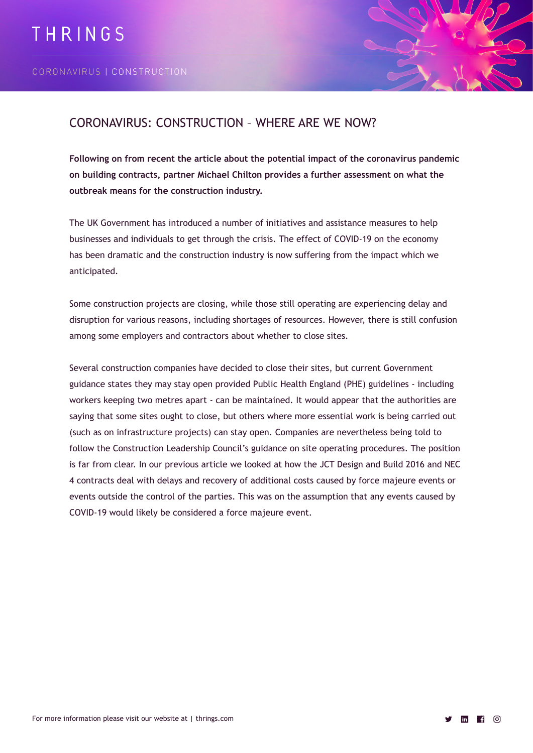

## CORONAVIRUS: CONSTRUCTION – WHERE ARE WE NOW?

**Following on from recent the article about the potential impact of the coronavirus pandemic on building contracts, partner Michael Chilton provides a further assessment on what the outbreak means for the construction industry.**

The UK Government has introduced a number of initiatives and assistance measures to help businesses and individuals to get through the crisis. The effect of COVID-19 on the economy has been dramatic and the construction industry is now suffering from the impact which we anticipated.

Some construction projects are closing, while those still operating are experiencing delay and disruption for various reasons, including shortages of resources. However, there is still confusion among some employers and contractors about whether to close sites.

Several construction companies have decided to close their sites, but current Government guidance states they may stay open provided Public Health England (PHE) guidelines - including workers keeping two metres apart - can be maintained. It would appear that the authorities are saying that some sites ought to close, but others where more essential work is being carried out (such as on infrastructure projects) can stay open. Companies are nevertheless being told to follow the Construction Leadership Council's guidance on site operating procedures. The position is far from clear. In our previous article we looked at how the JCT Design and Build 2016 and NEC 4 contracts deal with delays and recovery of additional costs caused by force majeure events or events outside the control of the parties. This was on the assumption that any events caused by COVID-19 would likely be considered a force majeure event.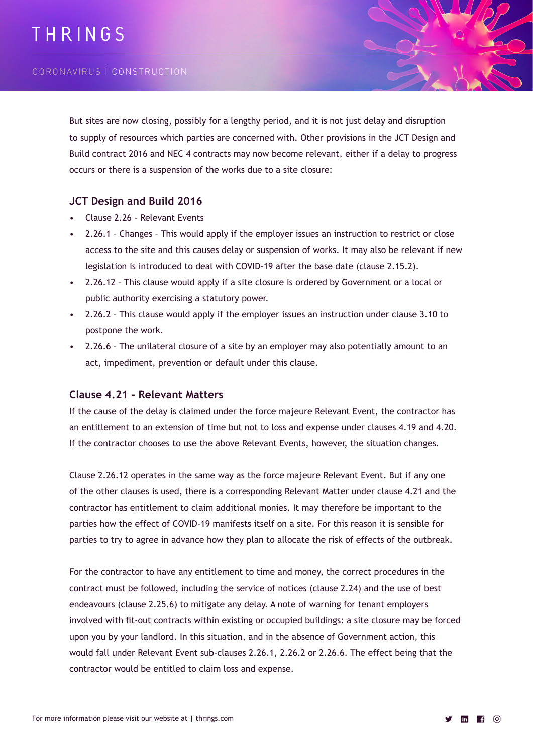# THRINGS

#### CORONAVIRUS | CONSTRUCTION

But sites are now closing, possibly for a lengthy period, and it is not just delay and disruption to supply of resources which parties are concerned with. Other provisions in the JCT Design and Build contract 2016 and NEC 4 contracts may now become relevant, either if a delay to progress occurs or there is a suspension of the works due to a site closure:

#### **JCT Design and Build 2016**

- Clause 2.26 Relevant Events
- 2.26.1 Changes This would apply if the employer issues an instruction to restrict or close access to the site and this causes delay or suspension of works. It may also be relevant if new legislation is introduced to deal with COVID-19 after the base date (clause 2.15.2).
- 2.26.12 This clause would apply if a site closure is ordered by Government or a local or public authority exercising a statutory power.
- 2.26.2 This clause would apply if the employer issues an instruction under clause 3.10 to postpone the work.
- 2.26.6 The unilateral closure of a site by an employer may also potentially amount to an act, impediment, prevention or default under this clause.

#### **Clause 4.21 - Relevant Matters**

If the cause of the delay is claimed under the force majeure Relevant Event, the contractor has an entitlement to an extension of time but not to loss and expense under clauses 4.19 and 4.20. If the contractor chooses to use the above Relevant Events, however, the situation changes.

Clause 2.26.12 operates in the same way as the force majeure Relevant Event. But if any one of the other clauses is used, there is a corresponding Relevant Matter under clause 4.21 and the contractor has entitlement to claim additional monies. It may therefore be important to the parties how the effect of COVID-19 manifests itself on a site. For this reason it is sensible for parties to try to agree in advance how they plan to allocate the risk of effects of the outbreak.

For the contractor to have any entitlement to time and money, the correct procedures in the contract must be followed, including the service of notices (clause 2.24) and the use of best endeavours (clause 2.25.6) to mitigate any delay. A note of warning for tenant employers involved with fit-out contracts within existing or occupied buildings: a site closure may be forced upon you by your landlord. In this situation, and in the absence of Government action, this would fall under Relevant Event sub-clauses 2.26.1, 2.26.2 or 2.26.6. The effect being that the contractor would be entitled to claim loss and expense.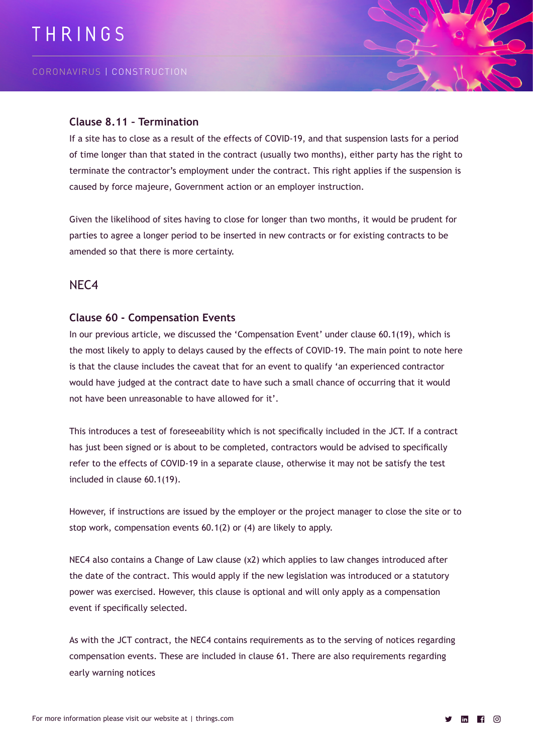#### **Clause 8.11 – Termination**

If a site has to close as a result of the effects of COVID-19, and that suspension lasts for a period of time longer than that stated in the contract (usually two months), either party has the right to terminate the contractor's employment under the contract. This right applies if the suspension is caused by force majeure, Government action or an employer instruction.

Given the likelihood of sites having to close for longer than two months, it would be prudent for parties to agree a longer period to be inserted in new contracts or for existing contracts to be amended so that there is more certainty.

### NEC4

#### **Clause 60 - Compensation Events**

In our previous article, we discussed the 'Compensation Event' under clause 60.1(19), which is the most likely to apply to delays caused by the effects of COVID-19. The main point to note here is that the clause includes the caveat that for an event to qualify 'an experienced contractor would have judged at the contract date to have such a small chance of occurring that it would not have been unreasonable to have allowed for it'.

This introduces a test of foreseeability which is not specifically included in the JCT. If a contract has just been signed or is about to be completed, contractors would be advised to specifically refer to the effects of COVID-19 in a separate clause, otherwise it may not be satisfy the test included in clause 60.1(19).

However, if instructions are issued by the employer or the project manager to close the site or to stop work, compensation events 60.1(2) or (4) are likely to apply.

NEC4 also contains a Change of Law clause (x2) which applies to law changes introduced after the date of the contract. This would apply if the new legislation was introduced or a statutory power was exercised. However, this clause is optional and will only apply as a compensation event if specifically selected.

As with the JCT contract, the NEC4 contains requirements as to the serving of notices regarding compensation events. These are included in clause 61. There are also requirements regarding early warning notices